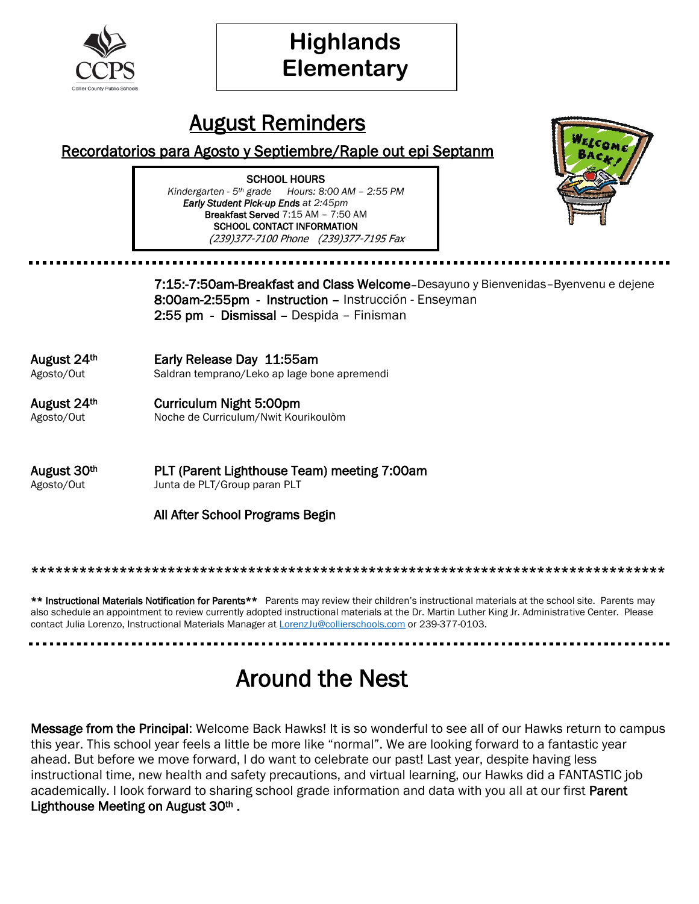

# **Highlands Elementary**

#### August Reminders

#### Recordatorios para Agosto y Septiembre/Raple out epi Septanm

SCHOOL HOURS *Kindergarten - 5th grade Hours: 8:00 AM – 2:55 PM Early Student Pick-up Ends at 2:45pm* Breakfast Served 7:15 AM – 7:50 AM SCHOOL CONTACT INFORMATION (239)377-7100 Phone (239)377-7195 Fax



7:15:-7:50am-Breakfast and Class Welcome–Desayuno y Bienvenidas–Byenvenu e dejene 8:00am-2:55pm - Instruction – Instrucción - Enseyman 2:55 pm - Dismissal – Despida – Finisman

August 24th Early Release Day 11:55am Agosto/Out Saldran temprano/Leko ap lage bone apremendi

August 24th Curriculum Night 5:00pm Agosto/Out Noche de Curriculum/Nwit Kourikoulòm

August 30th PLT (Parent Lighthouse Team) meeting 7:00am Agosto/Out Junta de PLT/Group paran PLT

All After School Programs Begin

#### \*\*\*\*\*\*\*\*\*\*\*\*\*\*\*\*\*\*\*\*\*\*\*\*\*\*\*\*\*\*\*\*\*\*\*\*\*\*\*\*\*\*\*\*\*\*\*\*\*\*\*\*\*\*\*\*\*\*\*\*\*\*\*\*\*\*\*\*\*\*\*\*\*\*\*\*\*\*\*

\*\* Instructional Materials Notification for Parents\*\* Parents may review their children's instructional materials at the school site. Parents may also schedule an appointment to review currently adopted instructional materials at the Dr. Martin Luther King Jr. Administrative Center. Please contact Julia Lorenzo, Instructional Materials Manager a[t LorenzJu@collierschools.com](mailto:LorenzJu@collierschools.com) or 239-377-0103.

## Around the Nest

Message from the Principal: Welcome Back Hawks! It is so wonderful to see all of our Hawks return to campus this year. This school year feels a little be more like "normal". We are looking forward to a fantastic year ahead. But before we move forward, I do want to celebrate our past! Last year, despite having less instructional time, new health and safety precautions, and virtual learning, our Hawks did a FANTASTIC job academically. I look forward to sharing school grade information and data with you all at our first Parent Lighthouse Meeting on August 30<sup>th</sup>.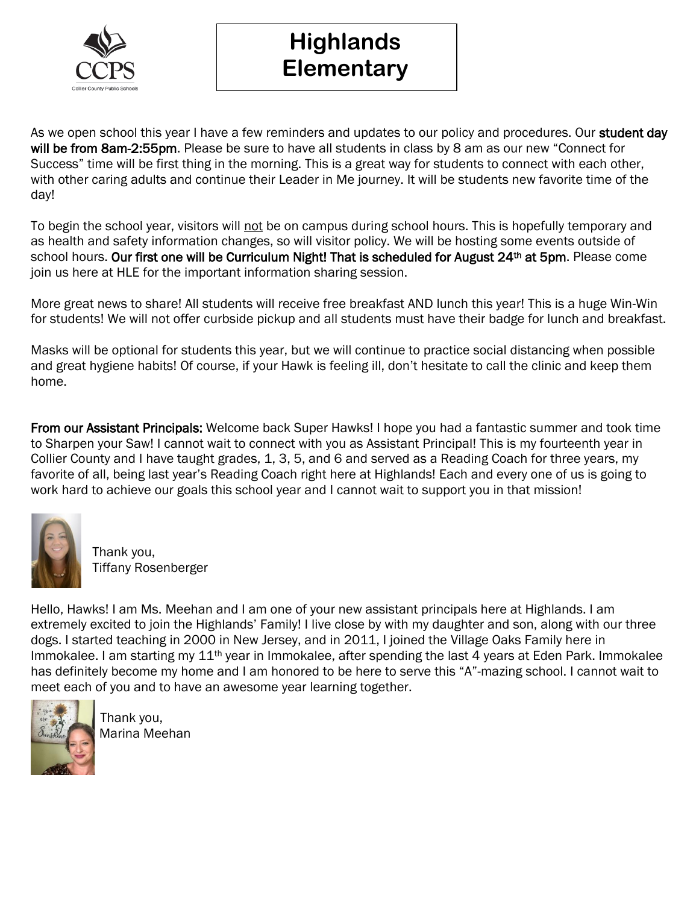

#### **Highlands Elementary**

As we open school this year I have a few reminders and updates to our policy and procedures. Our student day will be from 8am-2:55pm. Please be sure to have all students in class by 8 am as our new "Connect for Success" time will be first thing in the morning. This is a great way for students to connect with each other, with other caring adults and continue their Leader in Me journey. It will be students new favorite time of the day!

To begin the school year, visitors will not be on campus during school hours. This is hopefully temporary and as health and safety information changes, so will visitor policy. We will be hosting some events outside of school hours. Our first one will be Curriculum Night! That is scheduled for August 24<sup>th</sup> at 5pm. Please come join us here at HLE for the important information sharing session.

More great news to share! All students will receive free breakfast AND lunch this year! This is a huge Win-Win for students! We will not offer curbside pickup and all students must have their badge for lunch and breakfast.

Masks will be optional for students this year, but we will continue to practice social distancing when possible and great hygiene habits! Of course, if your Hawk is feeling ill, don't hesitate to call the clinic and keep them home.

From our Assistant Principals: Welcome back Super Hawks! I hope you had a fantastic summer and took time to Sharpen your Saw! I cannot wait to connect with you as Assistant Principal! This is my fourteenth year in Collier County and I have taught grades, 1, 3, 5, and 6 and served as a Reading Coach for three years, my favorite of all, being last year's Reading Coach right here at Highlands! Each and every one of us is going to work hard to achieve our goals this school year and I cannot wait to support you in that mission!



 Thank you, Tiffany Rosenberger

Hello, Hawks! I am Ms. Meehan and I am one of your new assistant principals here at Highlands. I am extremely excited to join the Highlands' Family! I live close by with my daughter and son, along with our three dogs. I started teaching in 2000 in New Jersey, and in 2011, I joined the Village Oaks Family here in Immokalee. I am starting my 11<sup>th</sup> year in Immokalee, after spending the last 4 years at Eden Park. Immokalee has definitely become my home and I am honored to be here to serve this "A"-mazing school. I cannot wait to meet each of you and to have an awesome year learning together.



 Thank you, Marina Meehan